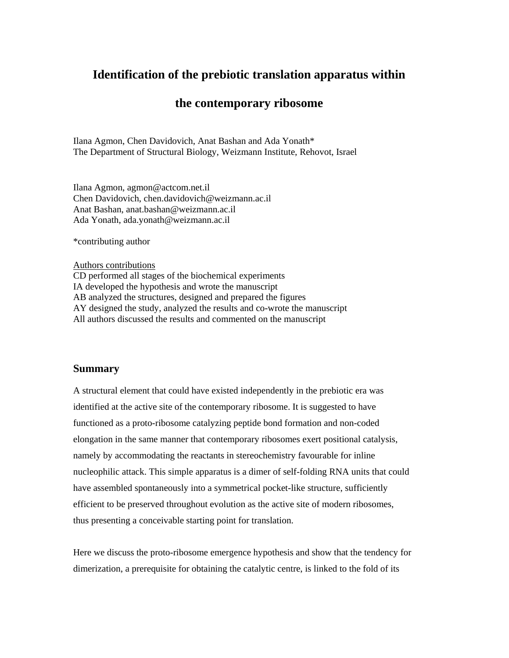# **Identification of the prebiotic translation apparatus within**

## **the contemporary ribosome**

Ilana Agmon, Chen Davidovich, Anat Bashan and Ada Yonath\* The Department of Structural Biology, Weizmann Institute, Rehovot, Israel

Ilana Agmon, agmon@actcom.net.il Chen Davidovich, chen.davidovich@weizmann.ac.il Anat Bashan, anat.bashan@weizmann.ac.il Ada Yonath, ada.yonath@weizmann.ac.il

\*contributing author

Authors contributions CD performed all stages of the biochemical experiments IA developed the hypothesis and wrote the manuscript AB analyzed the structures, designed and prepared the figures AY designed the study, analyzed the results and co-wrote the manuscript All authors discussed the results and commented on the manuscript

#### **Summary**

A structural element that could have existed independently in the prebiotic era was identified at the active site of the contemporary ribosome. It is suggested to have functioned as a proto-ribosome catalyzing peptide bond formation and non-coded elongation in the same manner that contemporary ribosomes exert positional catalysis, namely by accommodating the reactants in stereochemistry favourable for inline nucleophilic attack. This simple apparatus is a dimer of self-folding RNA units that could have assembled spontaneously into a symmetrical pocket-like structure, sufficiently efficient to be preserved throughout evolution as the active site of modern ribosomes, thus presenting a conceivable starting point for translation.

Here we discuss the proto-ribosome emergence hypothesis and show that the tendency for dimerization, a prerequisite for obtaining the catalytic centre, is linked to the fold of its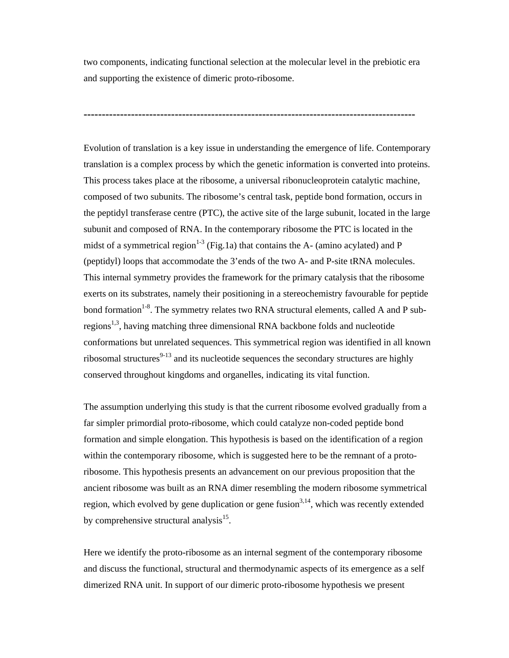two components, indicating functional selection at the molecular level in the prebiotic era and supporting the existence of dimeric proto-ribosome.

**-------------------------------------------------------------------------------------------** 

Evolution of translation is a key issue in understanding the emergence of life. Contemporary translation is a complex process by which the genetic information is converted into proteins. This process takes place at the ribosome, a universal ribonucleoprotein catalytic machine, composed of two subunits. The ribosome's central task, peptide bond formation, occurs in the peptidyl transferase centre (PTC), the active site of the large subunit, located in the large subunit and composed of RNA. In the contemporary ribosome the PTC is located in the midst of a symmetrical region<sup>1-3</sup> (Fig.1a) that contains the A- (amino acylated) and P (peptidyl) loops that accommodate the 3'ends of the two A- and P-site tRNA molecules. This internal symmetry provides the framework for the primary catalysis that the ribosome exerts on its substrates, namely their positioning in a stereochemistry favourable for peptide bond formation<sup>1-8</sup>. The symmetry relates two RNA structural elements, called A and P subregions<sup>1,3</sup>, having matching three dimensional RNA backbone folds and nucleotide conformations but unrelated sequences. This symmetrical region was identified in all known ribosomal structures<sup>9-13</sup> and its nucleotide sequences the secondary structures are highly conserved throughout kingdoms and organelles, indicating its vital function.

The assumption underlying this study is that the current ribosome evolved gradually from a far simpler primordial proto-ribosome, which could catalyze non-coded peptide bond formation and simple elongation. This hypothesis is based on the identification of a region within the contemporary ribosome, which is suggested here to be the remnant of a protoribosome. This hypothesis presents an advancement on our previous proposition that the ancient ribosome was built as an RNA dimer resembling the modern ribosome symmetrical region, which evolved by gene duplication or gene fusion<sup>3,14</sup>, which was recently extended by comprehensive structural analysis $^{15}$ .

Here we identify the proto-ribosome as an internal segment of the contemporary ribosome and discuss the functional, structural and thermodynamic aspects of its emergence as a self dimerized RNA unit. In support of our dimeric proto-ribosome hypothesis we present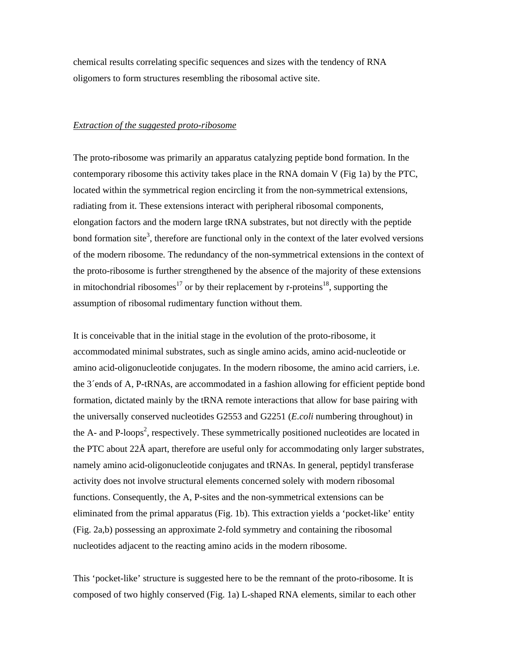chemical results correlating specific sequences and sizes with the tendency of RNA oligomers to form structures resembling the ribosomal active site.

#### *Extraction of the suggested proto-ribosome*

The proto-ribosome was primarily an apparatus catalyzing peptide bond formation. In the contemporary ribosome this activity takes place in the RNA domain V (Fig 1a) by the PTC, located within the symmetrical region encircling it from the non-symmetrical extensions, radiating from it. These extensions interact with peripheral ribosomal components, elongation factors and the modern large tRNA substrates, but not directly with the peptide bond formation site<sup>3</sup>, therefore are functional only in the context of the later evolved versions of the modern ribosome. The redundancy of the non-symmetrical extensions in the context of the proto-ribosome is further strengthened by the absence of the majority of these extensions in mitochondrial ribosomes<sup>17</sup> or by their replacement by r-proteins<sup>18</sup>, supporting the assumption of ribosomal rudimentary function without them.

It is conceivable that in the initial stage in the evolution of the proto-ribosome, it accommodated minimal substrates, such as single amino acids, amino acid-nucleotide or amino acid-oligonucleotide conjugates. In the modern ribosome, the amino acid carriers, i.e. the 3´ends of A, P-tRNAs, are accommodated in a fashion allowing for efficient peptide bond formation, dictated mainly by the tRNA remote interactions that allow for base pairing with the universally conserved nucleotides G2553 and G2251 (*E.coli* numbering throughout) in the A- and P-loops<sup>2</sup>, respectively. These symmetrically positioned nucleotides are located in the PTC about 22Å apart, therefore are useful only for accommodating only larger substrates, namely amino acid-oligonucleotide conjugates and tRNAs. In general, peptidyl transferase activity does not involve structural elements concerned solely with modern ribosomal functions. Consequently, the A, P-sites and the non-symmetrical extensions can be eliminated from the primal apparatus (Fig. 1b). This extraction yields a 'pocket-like' entity (Fig. 2a,b) possessing an approximate 2-fold symmetry and containing the ribosomal nucleotides adjacent to the reacting amino acids in the modern ribosome.

This 'pocket-like' structure is suggested here to be the remnant of the proto-ribosome. It is composed of two highly conserved (Fig. 1a) L-shaped RNA elements, similar to each other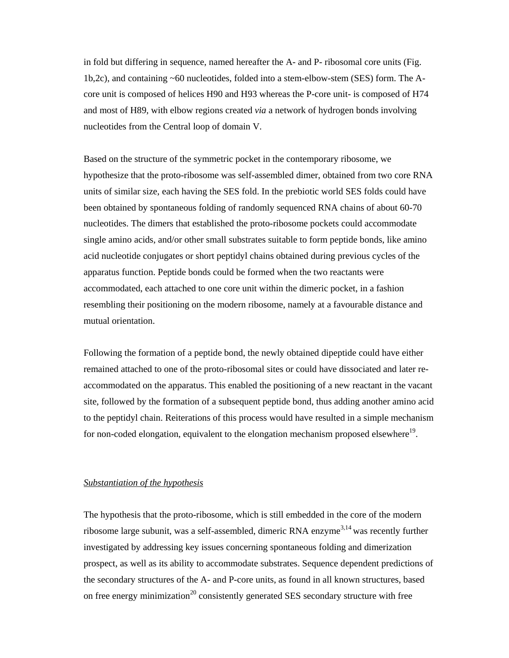in fold but differing in sequence, named hereafter the A- and P- ribosomal core units (Fig. 1b,2c), and containing ~60 nucleotides, folded into a stem-elbow-stem (SES) form. The Acore unit is composed of helices H90 and H93 whereas the P-core unit- is composed of H74 and most of H89, with elbow regions created *via* a network of hydrogen bonds involving nucleotides from the Central loop of domain V.

Based on the structure of the symmetric pocket in the contemporary ribosome, we hypothesize that the proto-ribosome was self-assembled dimer, obtained from two core RNA units of similar size, each having the SES fold. In the prebiotic world SES folds could have been obtained by spontaneous folding of randomly sequenced RNA chains of about 60-70 nucleotides. The dimers that established the proto-ribosome pockets could accommodate single amino acids, and/or other small substrates suitable to form peptide bonds, like amino acid nucleotide conjugates or short peptidyl chains obtained during previous cycles of the apparatus function. Peptide bonds could be formed when the two reactants were accommodated, each attached to one core unit within the dimeric pocket, in a fashion resembling their positioning on the modern ribosome, namely at a favourable distance and mutual orientation.

Following the formation of a peptide bond, the newly obtained dipeptide could have either remained attached to one of the proto-ribosomal sites or could have dissociated and later reaccommodated on the apparatus. This enabled the positioning of a new reactant in the vacant site, followed by the formation of a subsequent peptide bond, thus adding another amino acid to the peptidyl chain. Reiterations of this process would have resulted in a simple mechanism for non-coded elongation, equivalent to the elongation mechanism proposed elsewhere<sup>19</sup>.

#### *Substantiation of the hypothesis*

The hypothesis that the proto-ribosome, which is still embedded in the core of the modern ribosome large subunit, was a self-assembled, dimeric RNA enzyme<sup>3,14</sup> was recently further investigated by addressing key issues concerning spontaneous folding and dimerization prospect, as well as its ability to accommodate substrates. Sequence dependent predictions of the secondary structures of the A- and P-core units, as found in all known structures, based on free energy minimization<sup>20</sup> consistently generated SES secondary structure with free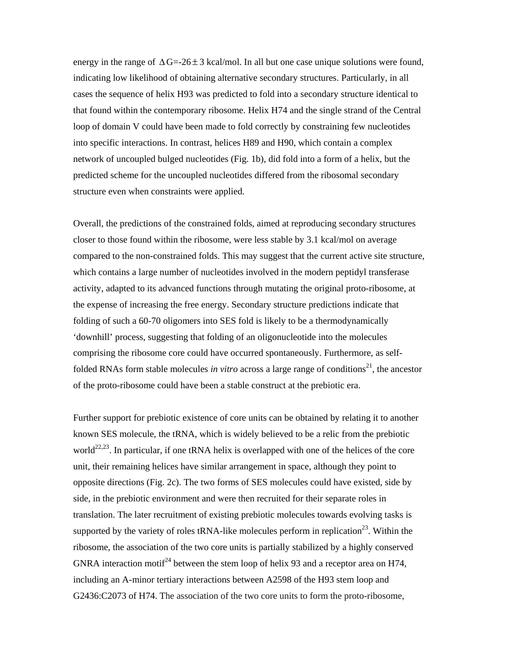energy in the range of  $\Delta G = 26 \pm 3$  kcal/mol. In all but one case unique solutions were found, indicating low likelihood of obtaining alternative secondary structures. Particularly, in all cases the sequence of helix H93 was predicted to fold into a secondary structure identical to that found within the contemporary ribosome. Helix H74 and the single strand of the Central loop of domain V could have been made to fold correctly by constraining few nucleotides into specific interactions. In contrast, helices H89 and H90, which contain a complex network of uncoupled bulged nucleotides (Fig. 1b), did fold into a form of a helix, but the predicted scheme for the uncoupled nucleotides differed from the ribosomal secondary structure even when constraints were applied.

Overall, the predictions of the constrained folds, aimed at reproducing secondary structures closer to those found within the ribosome, were less stable by 3.1 kcal/mol on average compared to the non-constrained folds. This may suggest that the current active site structure, which contains a large number of nucleotides involved in the modern peptidyl transferase activity, adapted to its advanced functions through mutating the original proto-ribosome, at the expense of increasing the free energy. Secondary structure predictions indicate that folding of such a 60-70 oligomers into SES fold is likely to be a thermodynamically 'downhill' process, suggesting that folding of an oligonucleotide into the molecules comprising the ribosome core could have occurred spontaneously. Furthermore, as selffolded RNAs form stable molecules *in vitro* across a large range of conditions<sup>21</sup>, the ancestor of the proto-ribosome could have been a stable construct at the prebiotic era.

Further support for prebiotic existence of core units can be obtained by relating it to another known SES molecule, the tRNA, which is widely believed to be a relic from the prebiotic world<sup>22,23</sup>. In particular, if one tRNA helix is overlapped with one of the helices of the core unit, their remaining helices have similar arrangement in space, although they point to opposite directions (Fig. 2c). The two forms of SES molecules could have existed, side by side, in the prebiotic environment and were then recruited for their separate roles in translation. The later recruitment of existing prebiotic molecules towards evolving tasks is supported by the variety of roles tRNA-like molecules perform in replication<sup>23</sup>. Within the ribosome, the association of the two core units is partially stabilized by a highly conserved GNRA interaction motif<sup>24</sup> between the stem loop of helix 93 and a receptor area on H74, including an A-minor tertiary interactions between A2598 of the H93 stem loop and G2436:C2073 of H74. The association of the two core units to form the proto-ribosome,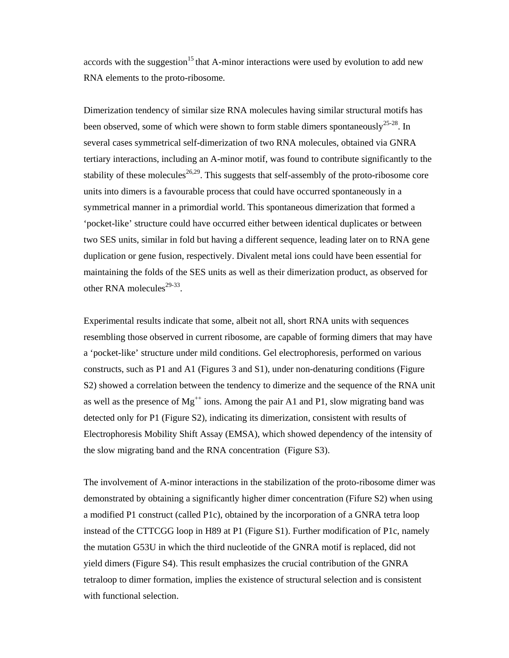accords with the suggestion<sup>15</sup> that A-minor interactions were used by evolution to add new RNA elements to the proto-ribosome.

Dimerization tendency of similar size RNA molecules having similar structural motifs has been observed, some of which were shown to form stable dimers spontaneously<sup>25-28</sup>. In several cases symmetrical self-dimerization of two RNA molecules, obtained via GNRA tertiary interactions, including an A-minor motif, was found to contribute significantly to the stability of these molecules<sup>26,29</sup>. This suggests that self-assembly of the proto-ribosome core units into dimers is a favourable process that could have occurred spontaneously in a symmetrical manner in a primordial world. This spontaneous dimerization that formed a 'pocket-like' structure could have occurred either between identical duplicates or between two SES units, similar in fold but having a different sequence, leading later on to RNA gene duplication or gene fusion, respectively. Divalent metal ions could have been essential for maintaining the folds of the SES units as well as their dimerization product, as observed for other RNA molecules $^{29-33}$ .

Experimental results indicate that some, albeit not all, short RNA units with sequences resembling those observed in current ribosome, are capable of forming dimers that may have a 'pocket-like' structure under mild conditions. Gel electrophoresis, performed on various constructs, such as P1 and A1 (Figures 3 and S1), under non-denaturing conditions (Figure S2) showed a correlation between the tendency to dimerize and the sequence of the RNA unit as well as the presence of  $Mg^{++}$  ions. Among the pair A1 and P1, slow migrating band was detected only for P1 (Figure S2), indicating its dimerization, consistent with results of Electrophoresis Mobility Shift Assay (EMSA), which showed dependency of the intensity of the slow migrating band and the RNA concentration (Figure S3).

The involvement of A-minor interactions in the stabilization of the proto-ribosome dimer was demonstrated by obtaining a significantly higher dimer concentration (Fifure S2) when using a modified P1 construct (called P1c), obtained by the incorporation of a GNRA tetra loop instead of the CTTCGG loop in H89 at P1 (Figure S1). Further modification of P1c, namely the mutation G53U in which the third nucleotide of the GNRA motif is replaced, did not yield dimers (Figure S4). This result emphasizes the crucial contribution of the GNRA tetraloop to dimer formation, implies the existence of structural selection and is consistent with functional selection.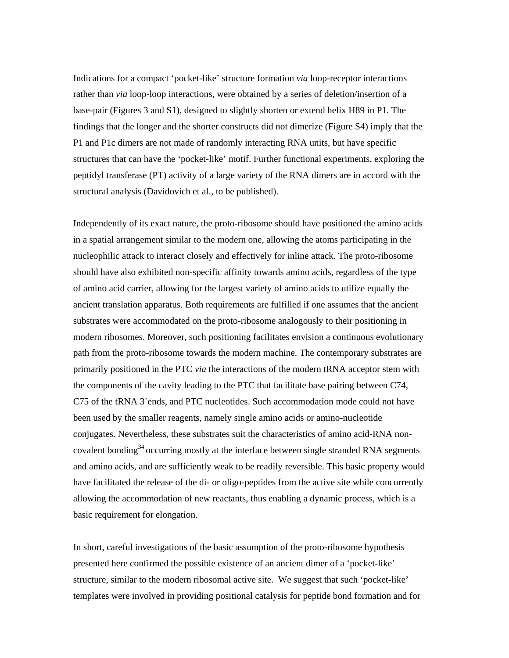Indications for a compact 'pocket-like' structure formation *via* loop-receptor interactions rather than *via* loop-loop interactions, were obtained by a series of deletion/insertion of a base-pair (Figures 3 and S1), designed to slightly shorten or extend helix H89 in P1. The findings that the longer and the shorter constructs did not dimerize (Figure S4) imply that the P1 and P1c dimers are not made of randomly interacting RNA units, but have specific structures that can have the 'pocket-like' motif. Further functional experiments, exploring the peptidyl transferase (PT) activity of a large variety of the RNA dimers are in accord with the structural analysis (Davidovich et al., to be published).

Independently of its exact nature, the proto-ribosome should have positioned the amino acids in a spatial arrangement similar to the modern one, allowing the atoms participating in the nucleophilic attack to interact closely and effectively for inline attack. The proto-ribosome should have also exhibited non-specific affinity towards amino acids, regardless of the type of amino acid carrier, allowing for the largest variety of amino acids to utilize equally the ancient translation apparatus. Both requirements are fulfilled if one assumes that the ancient substrates were accommodated on the proto-ribosome analogously to their positioning in modern ribosomes. Moreover, such positioning facilitates envision a continuous evolutionary path from the proto-ribosome towards the modern machine. The contemporary substrates are primarily positioned in the PTC *via* the interactions of the modern tRNA acceptor stem with the components of the cavity leading to the PTC that facilitate base pairing between C74, C75 of the tRNA 3´ends, and PTC nucleotides. Such accommodation mode could not have been used by the smaller reagents, namely single amino acids or amino-nucleotide conjugates. Nevertheless, these substrates suit the characteristics of amino acid-RNA noncovalent bonding<sup>34</sup> occurring mostly at the interface between single stranded RNA segments and amino acids, and are sufficiently weak to be readily reversible. This basic property would have facilitated the release of the di- or oligo-peptides from the active site while concurrently allowing the accommodation of new reactants, thus enabling a dynamic process, which is a basic requirement for elongation.

In short, careful investigations of the basic assumption of the proto-ribosome hypothesis presented here confirmed the possible existence of an ancient dimer of a 'pocket-like' structure, similar to the modern ribosomal active site. We suggest that such 'pocket-like' templates were involved in providing positional catalysis for peptide bond formation and for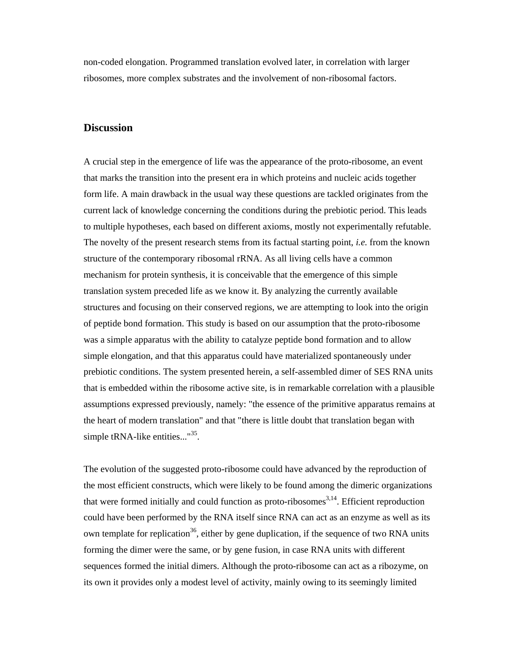non-coded elongation. Programmed translation evolved later, in correlation with larger ribosomes, more complex substrates and the involvement of non-ribosomal factors.

### **Discussion**

A crucial step in the emergence of life was the appearance of the proto-ribosome, an event that marks the transition into the present era in which proteins and nucleic acids together form life. A main drawback in the usual way these questions are tackled originates from the current lack of knowledge concerning the conditions during the prebiotic period. This leads to multiple hypotheses, each based on different axioms, mostly not experimentally refutable. The novelty of the present research stems from its factual starting point, *i.e.* from the known structure of the contemporary ribosomal rRNA. As all living cells have a common mechanism for protein synthesis, it is conceivable that the emergence of this simple translation system preceded life as we know it. By analyzing the currently available structures and focusing on their conserved regions, we are attempting to look into the origin of peptide bond formation. This study is based on our assumption that the proto-ribosome was a simple apparatus with the ability to catalyze peptide bond formation and to allow simple elongation, and that this apparatus could have materialized spontaneously under prebiotic conditions. The system presented herein, a self-assembled dimer of SES RNA units that is embedded within the ribosome active site, is in remarkable correlation with a plausible assumptions expressed previously, namely: "the essence of the primitive apparatus remains at the heart of modern translation" and that "there is little doubt that translation began with simple tRNA-like entities..."<sup>35</sup>.

The evolution of the suggested proto-ribosome could have advanced by the reproduction of the most efficient constructs, which were likely to be found among the dimeric organizations that were formed initially and could function as proto-ribosomes $3,14$ . Efficient reproduction could have been performed by the RNA itself since RNA can act as an enzyme as well as its own template for replication<sup>36</sup>, either by gene duplication, if the sequence of two RNA units forming the dimer were the same, or by gene fusion, in case RNA units with different sequences formed the initial dimers. Although the proto-ribosome can act as a ribozyme, on its own it provides only a modest level of activity, mainly owing to its seemingly limited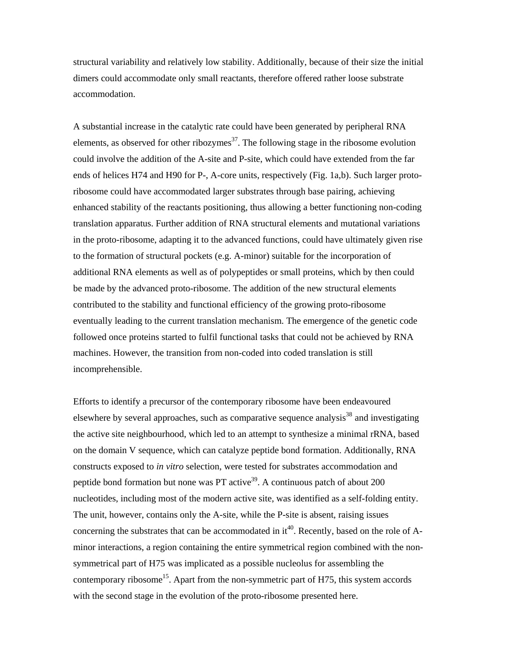structural variability and relatively low stability. Additionally, because of their size the initial dimers could accommodate only small reactants, therefore offered rather loose substrate accommodation.

A substantial increase in the catalytic rate could have been generated by peripheral RNA elements, as observed for other ribozymes<sup>37</sup>. The following stage in the ribosome evolution could involve the addition of the A-site and P-site, which could have extended from the far ends of helices H74 and H90 for P-, A-core units, respectively (Fig. 1a,b). Such larger protoribosome could have accommodated larger substrates through base pairing, achieving enhanced stability of the reactants positioning, thus allowing a better functioning non-coding translation apparatus. Further addition of RNA structural elements and mutational variations in the proto-ribosome, adapting it to the advanced functions, could have ultimately given rise to the formation of structural pockets (e.g. A-minor) suitable for the incorporation of additional RNA elements as well as of polypeptides or small proteins, which by then could be made by the advanced proto-ribosome. The addition of the new structural elements contributed to the stability and functional efficiency of the growing proto-ribosome eventually leading to the current translation mechanism. The emergence of the genetic code followed once proteins started to fulfil functional tasks that could not be achieved by RNA machines. However, the transition from non-coded into coded translation is still incomprehensible.

Efforts to identify a precursor of the contemporary ribosome have been endeavoured elsewhere by several approaches, such as comparative sequence analysis<sup>38</sup> and investigating the active site neighbourhood, which led to an attempt to synthesize a minimal rRNA, based on the domain V sequence, which can catalyze peptide bond formation. Additionally, RNA constructs exposed to *in vitro* selection, were tested for substrates accommodation and peptide bond formation but none was PT active<sup>39</sup>. A continuous patch of about 200 nucleotides, including most of the modern active site, was identified as a self-folding entity. The unit, however, contains only the A-site, while the P-site is absent, raising issues concerning the substrates that can be accommodated in  $it^{40}$ . Recently, based on the role of Aminor interactions, a region containing the entire symmetrical region combined with the nonsymmetrical part of H75 was implicated as a possible nucleolus for assembling the contemporary ribosome<sup>15</sup>. Apart from the non-symmetric part of H75, this system accords with the second stage in the evolution of the proto-ribosome presented here.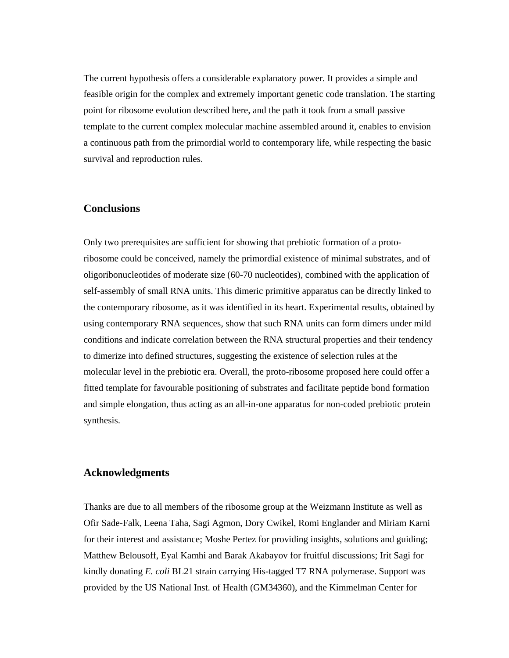The current hypothesis offers a considerable explanatory power. It provides a simple and feasible origin for the complex and extremely important genetic code translation. The starting point for ribosome evolution described here, and the path it took from a small passive template to the current complex molecular machine assembled around it, enables to envision a continuous path from the primordial world to contemporary life, while respecting the basic survival and reproduction rules.

### **Conclusions**

Only two prerequisites are sufficient for showing that prebiotic formation of a protoribosome could be conceived, namely the primordial existence of minimal substrates, and of oligoribonucleotides of moderate size (60-70 nucleotides), combined with the application of self-assembly of small RNA units. This dimeric primitive apparatus can be directly linked to the contemporary ribosome, as it was identified in its heart. Experimental results, obtained by using contemporary RNA sequences, show that such RNA units can form dimers under mild conditions and indicate correlation between the RNA structural properties and their tendency to dimerize into defined structures, suggesting the existence of selection rules at the molecular level in the prebiotic era. Overall, the proto-ribosome proposed here could offer a fitted template for favourable positioning of substrates and facilitate peptide bond formation and simple elongation, thus acting as an all-in-one apparatus for non-coded prebiotic protein synthesis.

#### **Acknowledgments**

Thanks are due to all members of the ribosome group at the Weizmann Institute as well as Ofir Sade-Falk, Leena Taha, Sagi Agmon, Dory Cwikel, Romi Englander and Miriam Karni for their interest and assistance; Moshe Pertez for providing insights, solutions and guiding; Matthew Belousoff, Eyal Kamhi and Barak Akabayov for fruitful discussions; Irit Sagi for kindly donating *E. coli* BL21 strain carrying His-tagged T7 RNA polymerase. Support was provided by the US National Inst. of Health (GM34360), and the Kimmelman Center for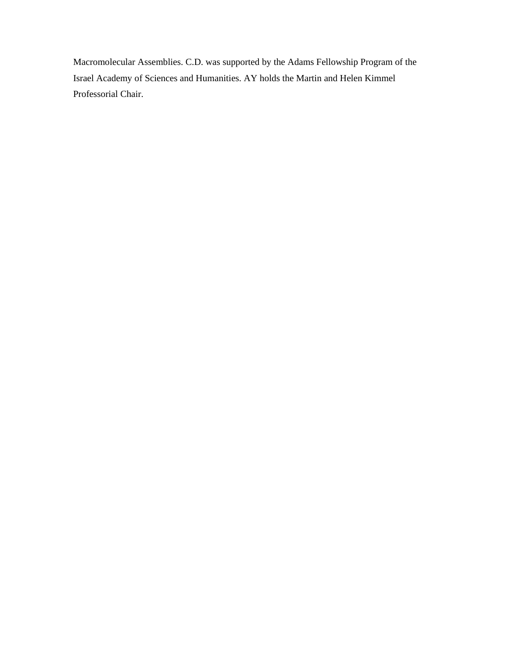Macromolecular Assemblies. C.D. was supported by the Adams Fellowship Program of the Israel Academy of Sciences and Humanities. AY holds the Martin and Helen Kimmel Professorial Chair.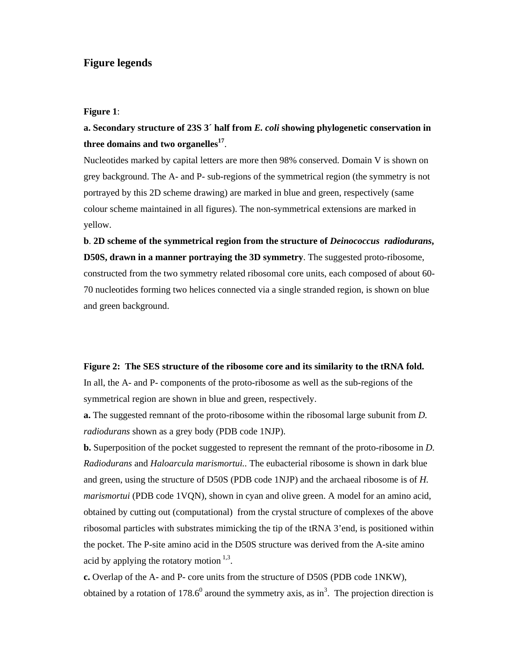### **Figure legends**

#### **Figure 1**:

## **a. Secondary structure of 23S 3´ half from** *E. coli* **showing phylogenetic conservation in three domains and two organelles<sup>17</sup>**.

Nucleotides marked by capital letters are more then 98% conserved. Domain V is shown on grey background. The A- and P- sub-regions of the symmetrical region (the symmetry is not portrayed by this 2D scheme drawing) are marked in blue and green, respectively (same colour scheme maintained in all figures). The non-symmetrical extensions are marked in yellow.

**b**. **2D scheme of the symmetrical region from the structure of** *Deinococcus radiodurans***, D50S, drawn in a manner portraying the 3D symmetry**. The suggested proto-ribosome, constructed from the two symmetry related ribosomal core units, each composed of about 60- 70 nucleotides forming two helices connected via a single stranded region, is shown on blue and green background.

#### **Figure 2: The SES structure of the ribosome core and its similarity to the tRNA fold.**

In all, the A- and P- components of the proto-ribosome as well as the sub-regions of the symmetrical region are shown in blue and green, respectively.

**a.** The suggested remnant of the proto-ribosome within the ribosomal large subunit from *D. radiodurans* shown as a grey body (PDB code 1NJP).

**b.** Superposition of the pocket suggested to represent the remnant of the proto-ribosome in *D. Radiodurans* and *Haloarcula marismortui..* The eubacterial ribosome is shown in dark blue and green, using the structure of D50S (PDB code 1NJP) and the archaeal ribosome is of *H. marismortui* (PDB code 1VQN), shown in cyan and olive green. A model for an amino acid, obtained by cutting out (computational) from the crystal structure of complexes of the above ribosomal particles with substrates mimicking the tip of the tRNA 3'end, is positioned within the pocket. The P-site amino acid in the D50S structure was derived from the A-site amino acid by applying the rotatory motion  $1,3$ .

**c.** Overlap of the A- and P- core units from the structure of D50S (PDB code 1NKW), obtained by a rotation of 178.6<sup>0</sup> around the symmetry axis, as in<sup>3</sup>. The projection direction is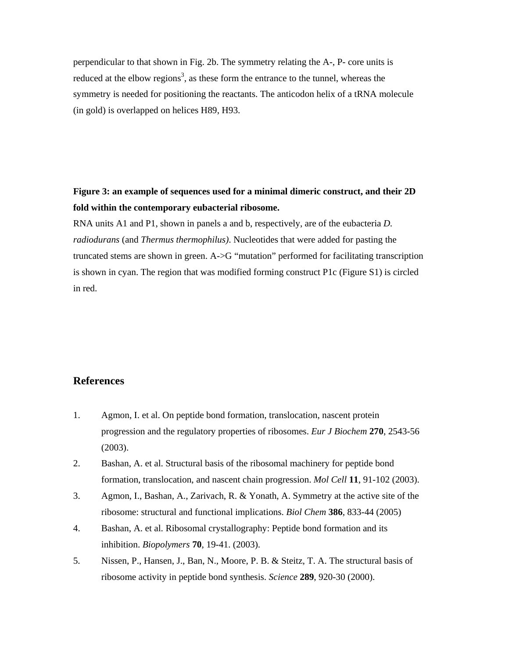perpendicular to that shown in Fig. 2b. The symmetry relating the A-, P- core units is reduced at the elbow regions<sup>3</sup>, as these form the entrance to the tunnel, whereas the symmetry is needed for positioning the reactants. The anticodon helix of a tRNA molecule (in gold) is overlapped on helices H89, H93.

## **Figure 3: an example of sequences used for a minimal dimeric construct, and their 2D fold within the contemporary eubacterial ribosome.**

RNA units A1 and P1, shown in panels a and b, respectively, are of the eubacteria *D. radiodurans* (and *Thermus thermophilus)*. Nucleotides that were added for pasting the truncated stems are shown in green. A->G "mutation" performed for facilitating transcription is shown in cyan. The region that was modified forming construct P1c (Figure S1) is circled in red.

### **References**

- 1. Agmon, I. et al. On peptide bond formation, translocation, nascent protein progression and the regulatory properties of ribosomes. *Eur J Biochem* **270**, 2543-56 (2003).
- 2. Bashan, A. et al. Structural basis of the ribosomal machinery for peptide bond formation, translocation, and nascent chain progression. *Mol Cell* **11**, 91-102 (2003).
- 3. Agmon, I., Bashan, A., Zarivach, R. & Yonath, A. Symmetry at the active site of the ribosome: structural and functional implications. *Biol Chem* **386**, 833-44 (2005)
- 4. Bashan, A. et al. Ribosomal crystallography: Peptide bond formation and its inhibition. *Biopolymers* **70**, 19-41. (2003).
- 5. Nissen, P., Hansen, J., Ban, N., Moore, P. B. & Steitz, T. A. The structural basis of ribosome activity in peptide bond synthesis. *Science* **289**, 920-30 (2000).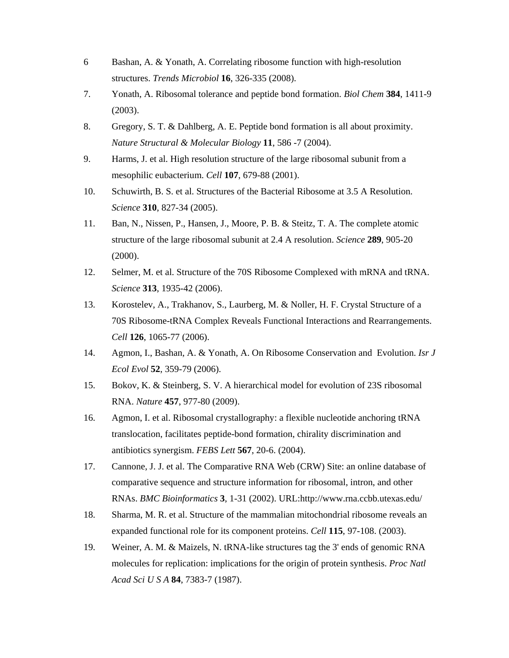- 6 Bashan, A. & Yonath, A. Correlating ribosome function with high-resolution structures. *Trends Microbiol* **16**, 326-335 (2008).
- 7. Yonath, A. Ribosomal tolerance and peptide bond formation. *Biol Chem* **384**, 1411-9 (2003).
- 8. Gregory, S. T. & Dahlberg, A. E. Peptide bond formation is all about proximity. *Nature Structural & Molecular Biology* **11**, 586 -7 (2004).
- 9. Harms, J. et al. High resolution structure of the large ribosomal subunit from a mesophilic eubacterium. *Cell* **107**, 679-88 (2001).
- 10. Schuwirth, B. S. et al. Structures of the Bacterial Ribosome at 3.5 A Resolution. *Science* **310**, 827-34 (2005).
- 11. Ban, N., Nissen, P., Hansen, J., Moore, P. B. & Steitz, T. A. The complete atomic structure of the large ribosomal subunit at 2.4 A resolution. *Science* **289**, 905-20 (2000).
- 12. Selmer, M. et al. Structure of the 70S Ribosome Complexed with mRNA and tRNA. *Science* **313**, 1935-42 (2006).
- 13. Korostelev, A., Trakhanov, S., Laurberg, M. & Noller, H. F. Crystal Structure of a 70S Ribosome-tRNA Complex Reveals Functional Interactions and Rearrangements. *Cell* **126**, 1065-77 (2006).
- 14. Agmon, I., Bashan, A. & Yonath, A. On Ribosome Conservation and Evolution. *Isr J Ecol Evol* **52**, 359-79 (2006).
- 15. Bokov, K. & Steinberg, S. V. A hierarchical model for evolution of 23S ribosomal RNA. *Nature* **457**, 977-80 (2009).
- 16. Agmon, I. et al. Ribosomal crystallography: a flexible nucleotide anchoring tRNA translocation, facilitates peptide-bond formation, chirality discrimination and antibiotics synergism. *FEBS Lett* **567**, 20-6. (2004).
- 17. Cannone, J. J. et al. The Comparative RNA Web (CRW) Site: an online database of comparative sequence and structure information for ribosomal, intron, and other RNAs. *BMC Bioinformatics* **3**, 1-31 (2002). URL:http://www.rna.ccbb.utexas.edu/
- 18. Sharma, M. R. et al. Structure of the mammalian mitochondrial ribosome reveals an expanded functional role for its component proteins. *Cell* **115**, 97-108. (2003).
- 19. Weiner, A. M. & Maizels, N. tRNA-like structures tag the 3' ends of genomic RNA molecules for replication: implications for the origin of protein synthesis. *Proc Natl Acad Sci U S A* **84**, 7383-7 (1987).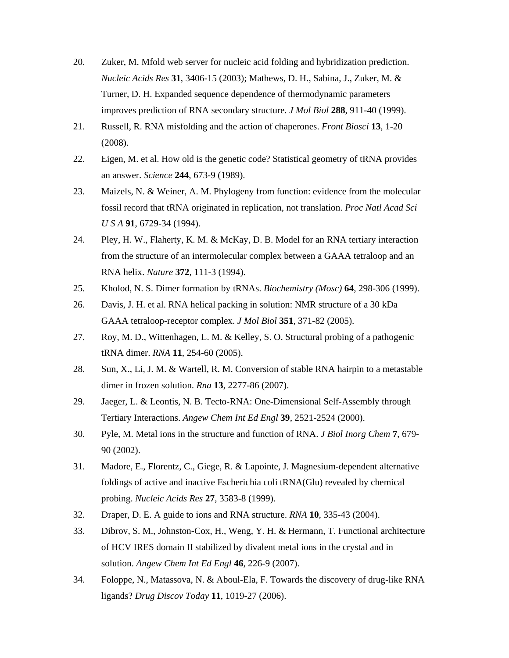- 20. Zuker, M. Mfold web server for nucleic acid folding and hybridization prediction. *Nucleic Acids Res* **31**, 3406-15 (2003); Mathews, D. H., Sabina, J., Zuker, M. & Turner, D. H. Expanded sequence dependence of thermodynamic parameters improves prediction of RNA secondary structure. *J Mol Biol* **288**, 911-40 (1999).
- 21. Russell, R. RNA misfolding and the action of chaperones. *Front Biosci* **13**, 1-20 (2008).
- 22. Eigen, M. et al. How old is the genetic code? Statistical geometry of tRNA provides an answer. *Science* **244**, 673-9 (1989).
- 23. Maizels, N. & Weiner, A. M. Phylogeny from function: evidence from the molecular fossil record that tRNA originated in replication, not translation. *Proc Natl Acad Sci U S A* **91**, 6729-34 (1994).
- 24. Pley, H. W., Flaherty, K. M. & McKay, D. B. Model for an RNA tertiary interaction from the structure of an intermolecular complex between a GAAA tetraloop and an RNA helix. *Nature* **372**, 111-3 (1994).
- 25. Kholod, N. S. Dimer formation by tRNAs. *Biochemistry (Mosc)* **64**, 298-306 (1999).
- 26. Davis, J. H. et al. RNA helical packing in solution: NMR structure of a 30 kDa GAAA tetraloop-receptor complex. *J Mol Biol* **351**, 371-82 (2005).
- 27. Roy, M. D., Wittenhagen, L. M. & Kelley, S. O. Structural probing of a pathogenic tRNA dimer. *RNA* **11**, 254-60 (2005).
- 28. Sun, X., Li, J. M. & Wartell, R. M. Conversion of stable RNA hairpin to a metastable dimer in frozen solution. *Rna* **13**, 2277-86 (2007).
- 29. Jaeger, L. & Leontis, N. B. Tecto-RNA: One-Dimensional Self-Assembly through Tertiary Interactions. *Angew Chem Int Ed Engl* **39**, 2521-2524 (2000).
- 30. Pyle, M. Metal ions in the structure and function of RNA. *J Biol Inorg Chem* **7**, 679- 90 (2002).
- 31. Madore, E., Florentz, C., Giege, R. & Lapointe, J. Magnesium-dependent alternative foldings of active and inactive Escherichia coli tRNA(Glu) revealed by chemical probing. *Nucleic Acids Res* **27**, 3583-8 (1999).
- 32. Draper, D. E. A guide to ions and RNA structure. *RNA* **10**, 335-43 (2004).
- 33. Dibrov, S. M., Johnston-Cox, H., Weng, Y. H. & Hermann, T. Functional architecture of HCV IRES domain II stabilized by divalent metal ions in the crystal and in solution. *Angew Chem Int Ed Engl* **46**, 226-9 (2007).
- 34. Foloppe, N., Matassova, N. & Aboul-Ela, F. Towards the discovery of drug-like RNA ligands? *Drug Discov Today* **11**, 1019-27 (2006).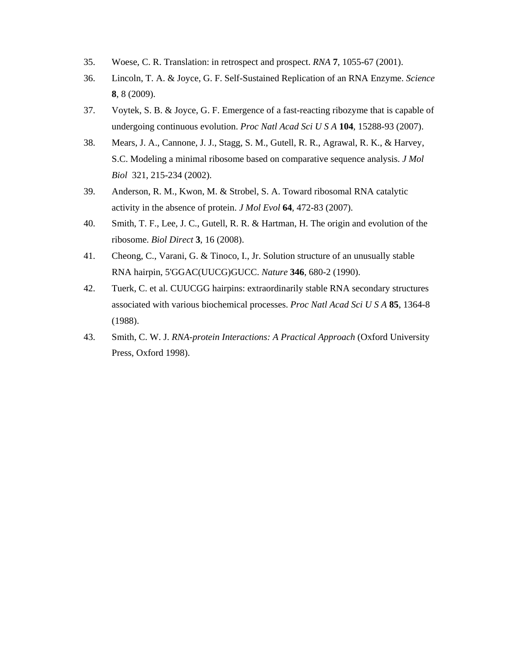- 35. Woese, C. R. Translation: in retrospect and prospect. *RNA* **7**, 1055-67 (2001).
- 36. Lincoln, T. A. & Joyce, G. F. Self-Sustained Replication of an RNA Enzyme. *Science* **8**, 8 (2009).
- 37. Voytek, S. B. & Joyce, G. F. Emergence of a fast-reacting ribozyme that is capable of undergoing continuous evolution. *Proc Natl Acad Sci U S A* **104**, 15288-93 (2007).
- 38. Mears, J. A., Cannone, J. J., Stagg, S. M., Gutell, R. R., Agrawal, R. K., & Harvey, S.C. Modeling a minimal ribosome based on comparative sequence analysis. *J Mol Biol* 321, 215-234 (2002).
- 39. Anderson, R. M., Kwon, M. & Strobel, S. A. Toward ribosomal RNA catalytic activity in the absence of protein. *J Mol Evol* **64**, 472-83 (2007).
- 40. Smith, T. F., Lee, J. C., Gutell, R. R. & Hartman, H. The origin and evolution of the ribosome. *Biol Direct* **3**, 16 (2008).
- 41. Cheong, C., Varani, G. & Tinoco, I., Jr. Solution structure of an unusually stable RNA hairpin, 5'GGAC(UUCG)GUCC. *Nature* **346**, 680-2 (1990).
- 42. Tuerk, C. et al. CUUCGG hairpins: extraordinarily stable RNA secondary structures associated with various biochemical processes. *Proc Natl Acad Sci U S A* **85**, 1364-8 (1988).
- 43. Smith, C. W. J. *RNA-protein Interactions: A Practical Approach* (Oxford University Press, Oxford 1998).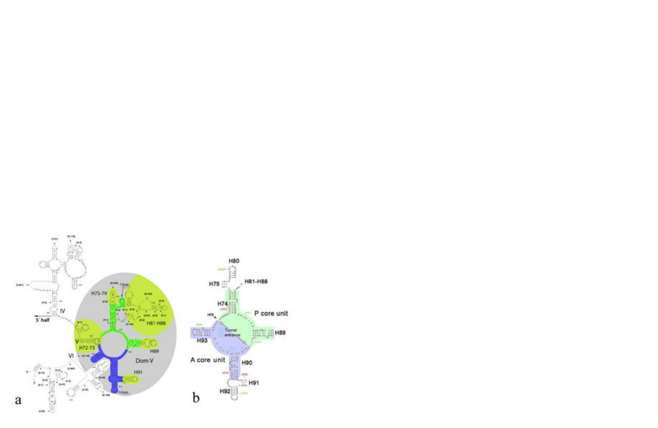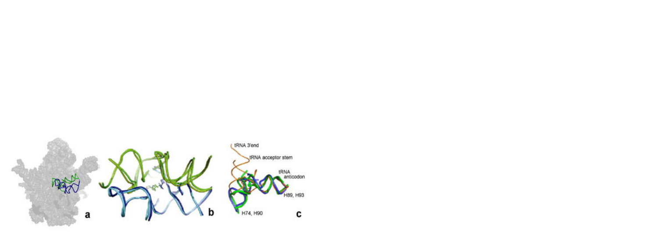